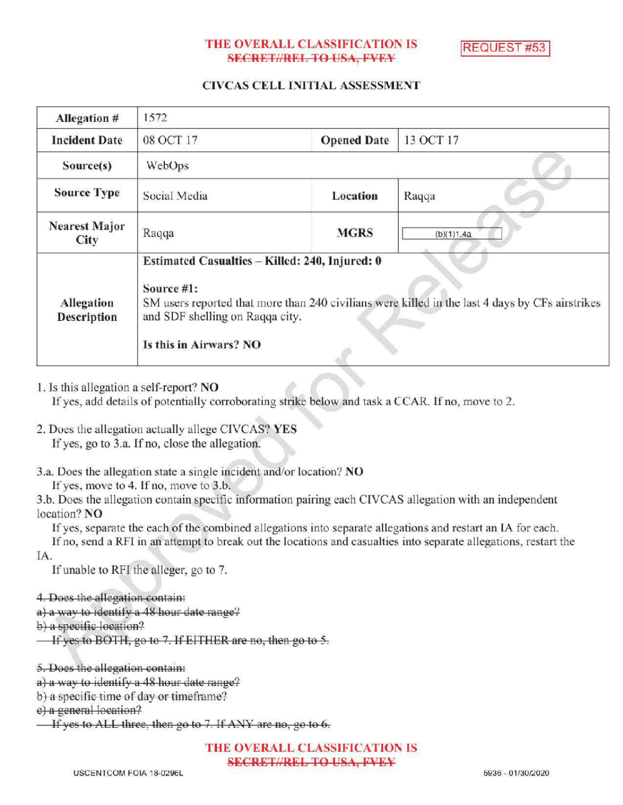# THE OVERALL CLASSIFICATION IS **SECRET//REL TO USA, FVEY**

REQUEST #53

# CIVCAS CELL INITIAL ASSESSMENT

| Allegation #                 | 1572                                                                                                                                                                                                                         |                    |            |
|------------------------------|------------------------------------------------------------------------------------------------------------------------------------------------------------------------------------------------------------------------------|--------------------|------------|
| <b>Incident Date</b>         | 08 OCT 17                                                                                                                                                                                                                    | <b>Opened Date</b> | 13 OCT 17  |
| Source(s)                    | <b>WebOps</b>                                                                                                                                                                                                                |                    |            |
| <b>Source Type</b>           | Social Media                                                                                                                                                                                                                 | Location           | Raqqa      |
| <b>Nearest Major</b><br>City | Raqqa                                                                                                                                                                                                                        | <b>MGRS</b>        | (b)(1)1.4a |
| Allegation<br>Description    | Estimated Casualtics - Killed: 240, Injured: 0<br>Source #1:<br>SM users reported that more than 240 civilians were killed in the last 4 days by CFs airstrikes<br>and SDF shelling on Raqqa city.<br>Is this in Airwars? NO |                    |            |

1. Isthis allegation a self-report? NO

If yes, add details of potentially corroborating strike below and task a CCAR. If no, move to 2.

2. Does the allegation actually allege CIVCAS? YES If yes, go to 3.a. If no, close the allegation.

3.a. Does the allegation state a single incident and/or location? NO

If yes, move to 4. If no, move to  $3.b$ .

3.b. Does the allegation contain specific information pairing each CIVCAS allegation with an independent location? NO

Ifyes, separate the each of the combined allegations into separate allegations and restart an IA for each.

Ifno, send <sup>a</sup> RFI in an attempt to break out the locations and casualties into separate allegations , restart the IA

If unable to RFI the alleger, go to 7.

```
4. Does the allegation contain:
```
a) a way to identify a  $48$  hour date range?

 $b)$  a specific location?

If yes to BOTH, go to 7. If EITHER are no, then go to 5.

5. Does the allegation contain:

a) a way to identify a 48 hour date range?

b) a specific time of day or timeframe?

e) a general location?

If yes to ALL three, then go to  $7$ . If ANY are no, go to  $6$ .

THE OVERALL CLASSIFICATION IS **SECRET//REL TO USA, FVEY**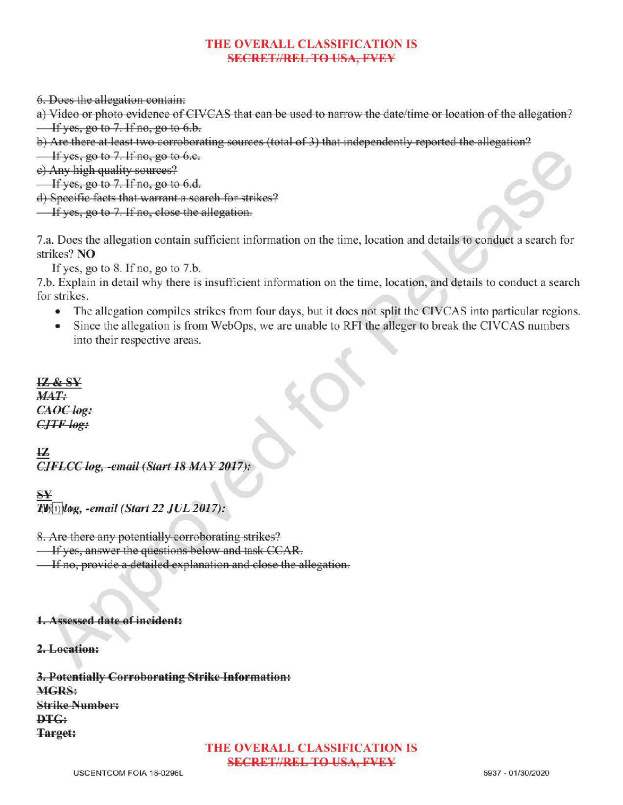# THE OVERALL CLASSIFICATION IS SECRET//REL TO USA, PVEY

6.Doesthe allegation contain:

a) Video or photo evidence of CIVCAS that can be used to narrow the date/ time or location of the allegation?  $\overline{\phantom{a}}$  If yes, go to 7. If no, go to 6.b.

b) Are there at least two corroborating sources (total of 3) that independently reported the allegation?

 $\frac{1}{1}$  yes, go to 7. If no, go to 6.e.

e) Any high quality sources?

 $\overline{\phantom{a}}$  If yes, go to 7. If no, go to 6.d.

d) Specific facts that warrant <sup>a</sup> search for strikes?

 $\overline{\phantom{a}}$  If yes, go to 7. If no, close the allegation.

7.a. Does the allegation contain sufficient information on the time, location and details to conduct a search for strikes? NO

If yes, go to  $8$ . If no, go to  $7.b$ .

7.b. Explain in detail why there is insufficient information on the time, location, and details to conduct <sup>a</sup> search for strikes.

- The allegation compiles strikes from four days, but it does not split the CIVCAS into particular regions.
- Since the allegation is from WebOps, we are unable to RFI the alleger to break the CIVCAS numbers into their respective areas.

12 & SY MAT: CAOC log: CJTF log:

IZ  $CIFLCC$  log, -email (Start 18 MAY 2017):

SΥ  $T(\mathfrak{h}(1))$ løg, -email (Start 22 JUL 2017):

8.Are there any potentially corroborating strikes?

 $\overline{\phantom{a}}$  If yes, answer the questions below and task CCAR.

**If no, provide a detailed explanation and close the allegation.** 

### Assessed date of incident:

### 2.Location:

3. Potentially Corroborating Strike Information: MGRS: StrikeNumber:  $\mathbf{p}_{\mathbf{T}G}$ : Target:

THE OVERALL CLASSIFICATION IS **SECRET//REL TO USA, FVEY**